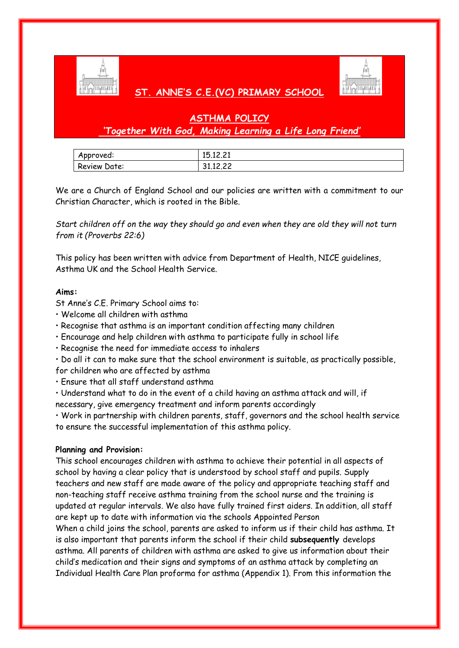

## **ST. ANNE'S C.E.(VC) PRIMARY SCHOOL**



## **ASTHMA POLICY**

## *'Together With God, Making Learning a Life Long Friend'*

| Approved:    | 15.12.21                    |
|--------------|-----------------------------|
| Review Date: | 31 12 22<br><b>JI.IL.LL</b> |

We are a Church of England School and our policies are written with a commitment to our Christian Character, which is rooted in the Bible.

*Start children off on the way they should go and even when they are old they will not turn from it (Proverbs 22:6)*

This policy has been written with advice from Department of Health, NICE guidelines, Asthma UK and the School Health Service.

### **Aims:**

St Anne's C.E. Primary School aims to:

- Welcome all children with asthma
- Recognise that asthma is an important condition affecting many children
- Encourage and help children with asthma to participate fully in school life
- Recognise the need for immediate access to inhalers

• Do all it can to make sure that the school environment is suitable, as practically possible, for children who are affected by asthma

• Ensure that all staff understand asthma

• Understand what to do in the event of a child having an asthma attack and will, if necessary, give emergency treatment and inform parents accordingly

• Work in partnership with children parents, staff, governors and the school health service to ensure the successful implementation of this asthma policy.

#### **Planning and Provision:**

This school encourages children with asthma to achieve their potential in all aspects of school by having a clear policy that is understood by school staff and pupils. Supply teachers and new staff are made aware of the policy and appropriate teaching staff and non-teaching staff receive asthma training from the school nurse and the training is updated at regular intervals. We also have fully trained first aiders. In addition, all staff are kept up to date with information via the schools Appointed Person When a child joins the school, parents are asked to inform us if their child has asthma. It is also important that parents inform the school if their child **subsequently** develops asthma. All parents of children with asthma are asked to give us information about their child's medication and their signs and symptoms of an asthma attack by completing an Individual Health Care Plan proforma for asthma (Appendix 1). From this information the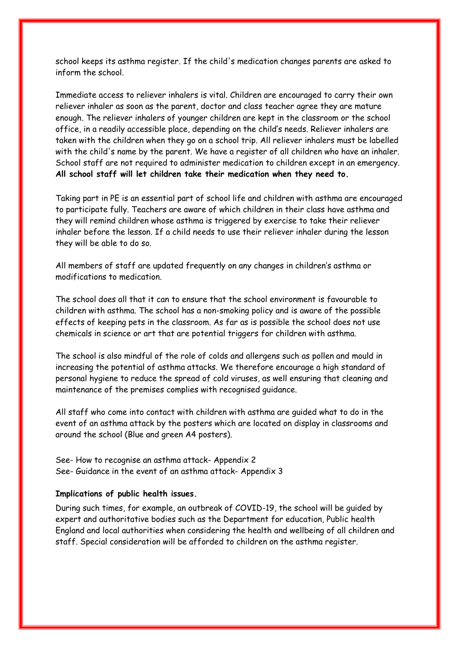school keeps its asthma register. If the child's medication changes parents are asked to inform the school.

Immediate access to reliever inhalers is vital. Children are encouraged to carry their own reliever inhaler as soon as the parent, doctor and class teacher agree they are mature enough. The reliever inhalers of younger children are kept in the classroom or the school office, in a readily accessible place, depending on the child's needs. Reliever inhalers are taken with the children when they go on a school trip. All reliever inhalers must be labelled with the child's name by the parent. We have a register of all children who have an inhaler. School staff are not required to administer medication to children except in an emergency. **All school staff will let children take their medication when they need to.**

Taking part in PE is an essential part of school life and children with asthma are encouraged to participate fully. Teachers are aware of which children in their class have asthma and they will remind children whose asthma is triggered by exercise to take their reliever inhaler before the lesson. If a child needs to use their reliever inhaler during the lesson they will be able to do so.

All members of staff are updated frequently on any changes in children's asthma or modifications to medication.

The school does all that it can to ensure that the school environment is favourable to children with asthma. The school has a non-smoking policy and is aware of the possible effects of keeping pets in the classroom. As far as is possible the school does not use chemicals in science or art that are potential triggers for children with asthma.

The school is also mindful of the role of colds and allergens such as pollen and mould in increasing the potential of asthma attacks. We therefore encourage a high standard of personal hygiene to reduce the spread of cold viruses, as well ensuring that cleaning and maintenance of the premises complies with recognised guidance.

All staff who come into contact with children with asthma are guided what to do in the event of an asthma attack by the posters which are located on display in classrooms and around the school (Blue and green A4 posters).

See- How to recognise an asthma attack- Appendix 2 See- Guidance in the event of an asthma attack- Appendix 3

#### **Implications of public health issues.**

During such times, for example, an outbreak of COVID-19, the school will be guided by expert and authoritative bodies such as the Department for education, Public health England and local authorities when considering the health and wellbeing of all children and staff. Special consideration will be afforded to children on the asthma register.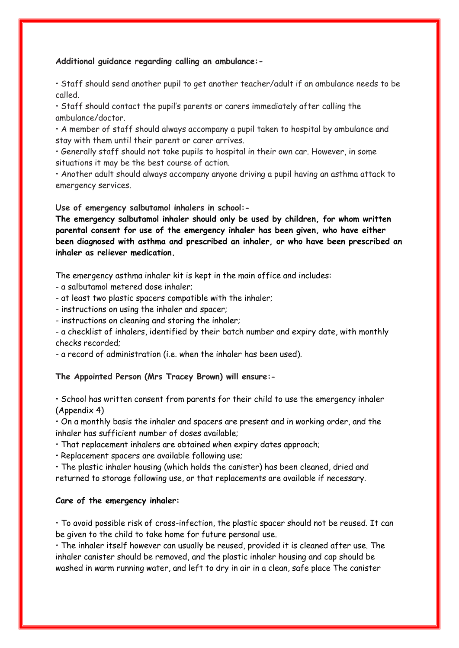#### **Additional guidance regarding calling an ambulance:-**

• Staff should send another pupil to get another teacher/adult if an ambulance needs to be called.

• Staff should contact the pupil's parents or carers immediately after calling the ambulance/doctor.

• A member of staff should always accompany a pupil taken to hospital by ambulance and stay with them until their parent or carer arrives.

• Generally staff should not take pupils to hospital in their own car. However, in some situations it may be the best course of action.

• Another adult should always accompany anyone driving a pupil having an asthma attack to emergency services.

**Use of emergency salbutamol inhalers in school:-**

**The emergency salbutamol inhaler should only be used by children, for whom written parental consent for use of the emergency inhaler has been given, who have either been diagnosed with asthma and prescribed an inhaler, or who have been prescribed an inhaler as reliever medication.**

The emergency asthma inhaler kit is kept in the main office and includes:

- a salbutamol metered dose inhaler;
- at least two plastic spacers compatible with the inhaler;
- instructions on using the inhaler and spacer;
- instructions on cleaning and storing the inhaler;

- a checklist of inhalers, identified by their batch number and expiry date, with monthly checks recorded;

- a record of administration (i.e. when the inhaler has been used).

## **The Appointed Person (Mrs Tracey Brown) will ensure:-**

• School has written consent from parents for their child to use the emergency inhaler (Appendix 4)

• On a monthly basis the inhaler and spacers are present and in working order, and the inhaler has sufficient number of doses available;

• That replacement inhalers are obtained when expiry dates approach;

• Replacement spacers are available following use;

• The plastic inhaler housing (which holds the canister) has been cleaned, dried and returned to storage following use, or that replacements are available if necessary.

#### **Care of the emergency inhaler:**

• To avoid possible risk of cross-infection, the plastic spacer should not be reused. It can be given to the child to take home for future personal use.

• The inhaler itself however can usually be reused, provided it is cleaned after use. The inhaler canister should be removed, and the plastic inhaler housing and cap should be washed in warm running water, and left to dry in air in a clean, safe place The canister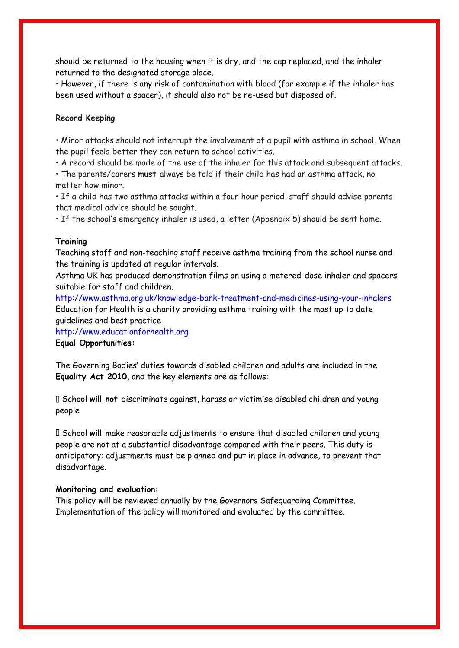should be returned to the housing when it is dry, and the cap replaced, and the inhaler returned to the designated storage place.

• However, if there is any risk of contamination with blood (for example if the inhaler has been used without a spacer), it should also not be re-used but disposed of.

## **Record Keeping**

• Minor attacks should not interrupt the involvement of a pupil with asthma in school. When the pupil feels better they can return to school activities.

• A record should be made of the use of the inhaler for this attack and subsequent attacks.

• The parents/carers **must** always be told if their child has had an asthma attack, no matter how minor.

• If a child has two asthma attacks within a four hour period, staff should advise parents that medical advice should be sought.

• If the school's emergency inhaler is used, a letter (Appendix 5) should be sent home.

#### **Training**

Teaching staff and non-teaching staff receive asthma training from the school nurse and the training is updated at regular intervals.

Asthma UK has produced demonstration films on using a metered-dose inhaler and spacers suitable for staff and children.

http://www.asthma.org.uk/knowledge-bank-treatment-and-medicines-using-your-inhalers Education for Health is a charity providing asthma training with the most up to date guidelines and best practice

http://www.educationforhealth.org

**Equal Opportunities:**

The Governing Bodies' duties towards disabled children and adults are included in the **Equality Act 2010**, and the key elements are as follows:

School **will not** discriminate against, harass or victimise disabled children and young people

School **will** make reasonable adjustments to ensure that disabled children and young people are not at a substantial disadvantage compared with their peers. This duty is anticipatory: adjustments must be planned and put in place in advance, to prevent that disadvantage.

#### **Monitoring and evaluation:**

This policy will be reviewed annually by the Governors Safeguarding Committee. Implementation of the policy will monitored and evaluated by the committee.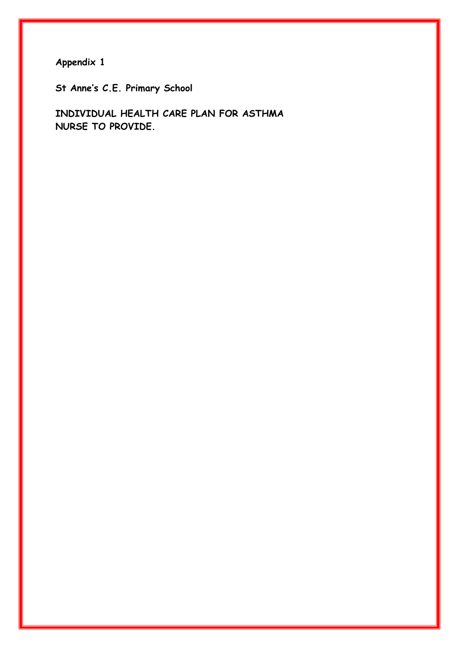**St Anne's C.E. Primary School**

**INDIVIDUAL HEALTH CARE PLAN FOR ASTHMA NURSE TO PROVIDE.**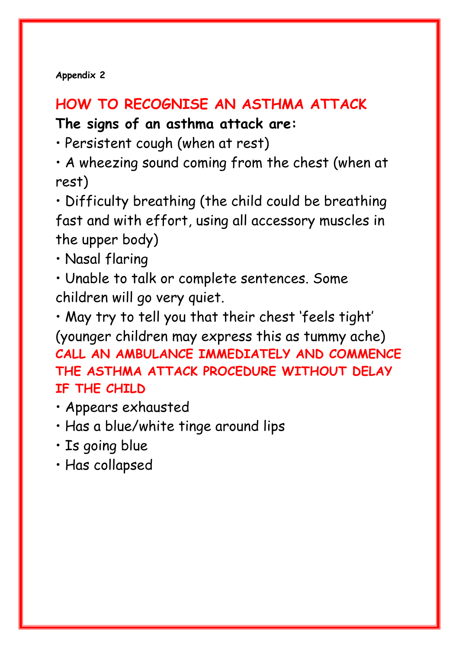# **HOW TO RECOGNISE AN ASTHMA ATTACK**

# **The signs of an asthma attack are:**

• Persistent cough (when at rest)

• A wheezing sound coming from the chest (when at rest)

• Difficulty breathing (the child could be breathing fast and with effort, using all accessory muscles in the upper body)

• Nasal flaring

• Unable to talk or complete sentences. Some children will go very quiet.

• May try to tell you that their chest 'feels tight' (younger children may express this as tummy ache) **CALL AN AMBULANCE IMMEDIATELY AND COMMENCE THE ASTHMA ATTACK PROCEDURE WITHOUT DELAY IF THE CHILD**

- Appears exhausted
- Has a blue/white tinge around lips
- Is going blue
- Has collapsed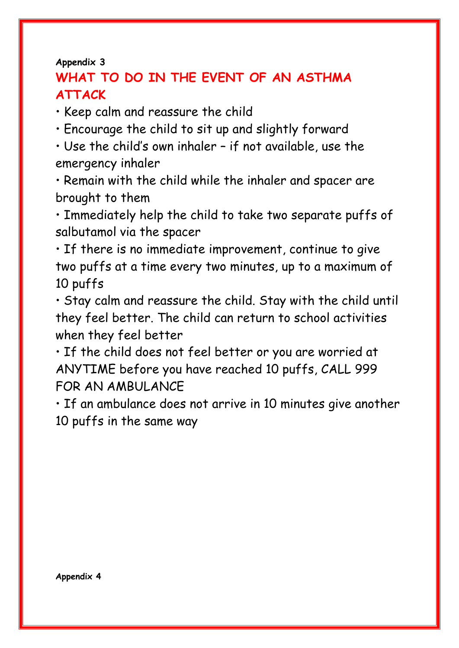## **WHAT TO DO IN THE EVENT OF AN ASTHMA ATTACK**

• Keep calm and reassure the child

• Encourage the child to sit up and slightly forward

• Use the child's own inhaler – if not available, use the emergency inhaler

• Remain with the child while the inhaler and spacer are brought to them

• Immediately help the child to take two separate puffs of salbutamol via the spacer

• If there is no immediate improvement, continue to give two puffs at a time every two minutes, up to a maximum of 10 puffs

• Stay calm and reassure the child. Stay with the child until they feel better. The child can return to school activities when they feel better

• If the child does not feel better or you are worried at ANYTIME before you have reached 10 puffs, CALL 999 FOR AN AMBULANCE

• If an ambulance does not arrive in 10 minutes give another 10 puffs in the same way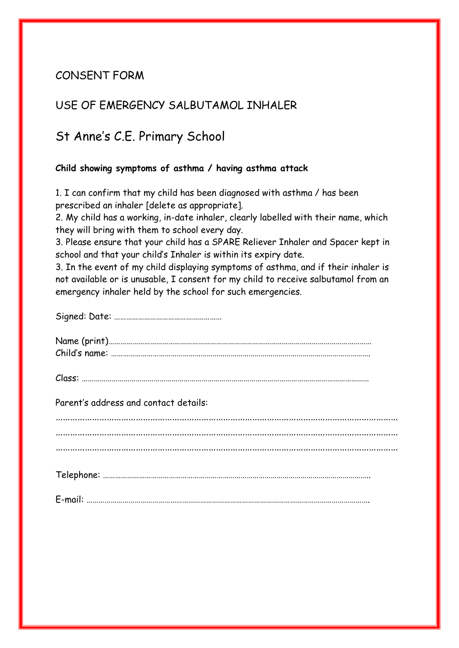## CONSENT FORM

## USE OF EMERGENCY SALBUTAMOL INHALER

## St Anne's C.E. Primary School

## **Child showing symptoms of asthma / having asthma attack**

1. I can confirm that my child has been diagnosed with asthma / has been prescribed an inhaler [delete as appropriate].

2. My child has a working, in-date inhaler, clearly labelled with their name, which they will bring with them to school every day.

3. Please ensure that your child has a SPARE Reliever Inhaler and Spacer kept in school and that your child's Inhaler is within its expiry date.

3. In the event of my child displaying symptoms of asthma, and if their inhaler is not available or is unusable, I consent for my child to receive salbutamol from an emergency inhaler held by the school for such emergencies.

Signed: Date: ………………………………………………

| $\sim$ |  |
|--------|--|
|        |  |

Parent's address and contact details:

…………………………………………………………………………………………………………………………… . The same independent of the same independent of the same independent of the same independent of the same independent of the same independent of the same independent of the same independent of the same independent of the ……………………………………………………………………………………………………………………………

|--|

E-mail: …………………………………………………………………………………………………………………………….